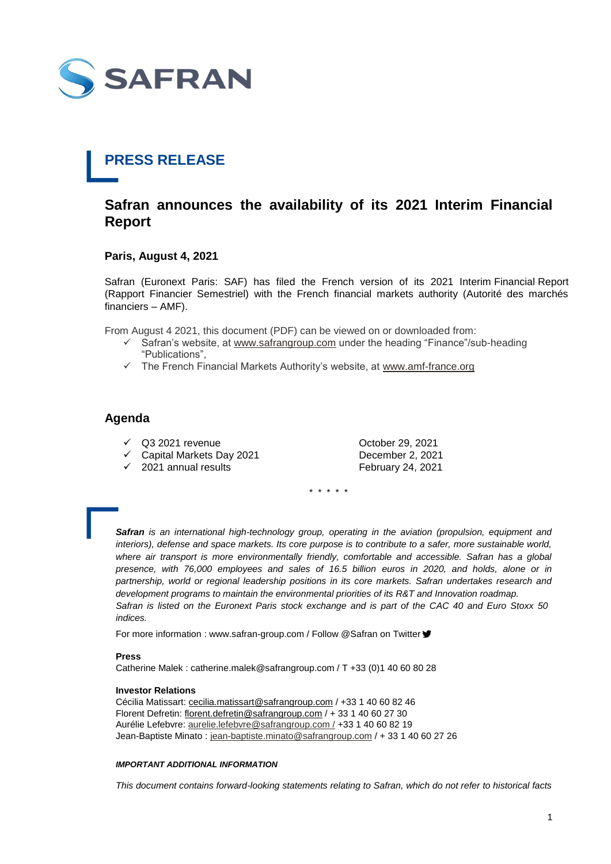

## **PRESS RELEASE**

### **Safran announces the availability of its 2021 Interim Financial Report**

#### **Paris, August 4, 2021**

Safran (Euronext Paris: SAF) has filed the French version of its 2021 Interim Financial Report (Rapport Financier Semestriel) with the French financial markets authority (Autorité des marchés financiers – AMF).

From August 4 2021, this document (PDF) can be viewed on or downloaded from:

- $\checkmark$  Safran's website, at [www.safrangroup.com](http://www.safrangroup.com/) under the heading "Finance"/sub-heading "Publications",
- $\checkmark$  The French Financial Markets Authority's website, at [www.amf-france.org](http://www.amf-france.org/)

### **Agenda**

- $\sqrt{}$  Q3 2021 revenue  $\sqrt{}$  October 29, 2021
- Capital Markets Day 2021 December 2, 2021

 $\sqrt{2021}$  annual results February 24, 2021

\* \* \* \* \*

*Safran is an international high-technology group, operating in the aviation (propulsion, equipment and interiors), defense and space markets. Its core purpose is to contribute to a safer, more sustainable world, where air transport is more environmentally friendly, comfortable and accessible. Safran has a global presence, with 76,000 employees and sales of 16.5 billion euros in 2020, and holds, alone or in*  partnership, world or regional leadership positions in its core markets. Safran undertakes research and *development programs to maintain the environmental priorities of its R&T and Innovation roadmap. Safran is listed on the Euronext Paris stock exchange and is part of the CAC 40 and Euro Stoxx 50 indices.*

For more information : www.safran-group.com / Follow @Safran on Twitter ♥

#### **Press**

Catherine Malek : catherine.malek@safrangroup.com / T +33 (0)1 40 60 80 28

#### **Investor Relations**

Cécilia Matissart: [cecilia.matissart@safrangroup.com](mailto:cecilia.matissart@safrangroup.com) / +33 1 40 60 82 46 Florent Defretin: [florent.defretin@safrangroup.com](mailto:florent.defretin@safrangroup.com) / + 33 1 40 60 27 30 Aurélie Lefebvre: [aurelie.lefebvre@safrangroup.com /](mailto:aurelie.lefebvre@safrangroup.com%20/) +33 1 40 60 82 19 Jean-Baptiste Minato : [jean-baptiste.minato@safrangroup.com](mailto:jean-baptiste.minato@safrangroup.com) / + 33 1 40 60 27 26

#### *IMPORTANT ADDITIONAL INFORMATION*

*This document contains forward-looking statements relating to Safran, which do not refer to historical facts*